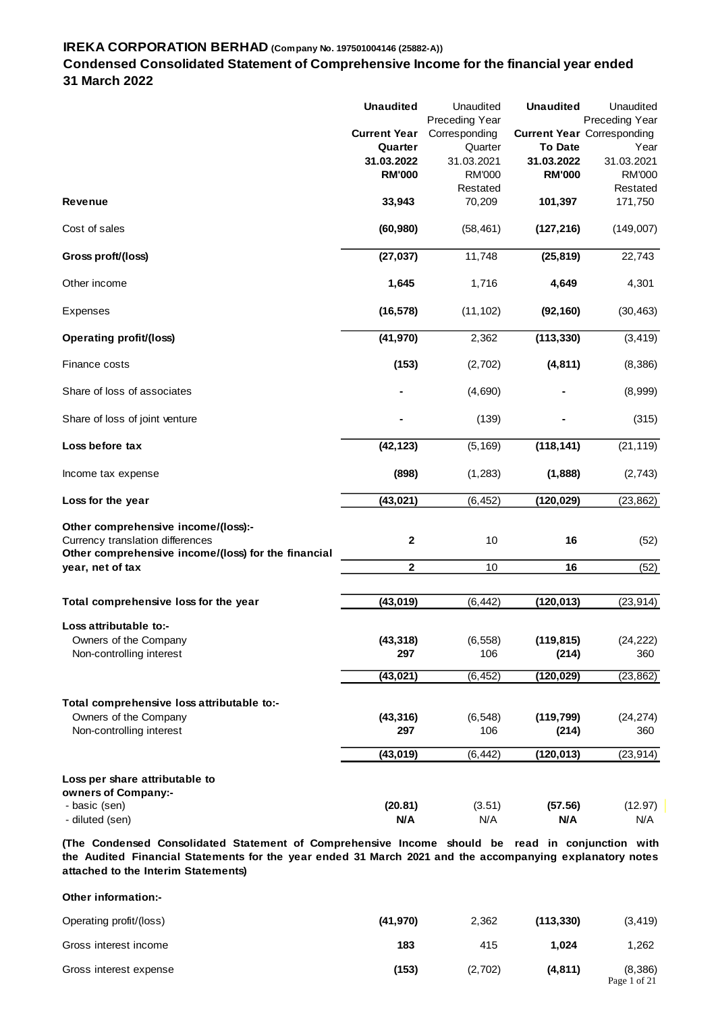## **Condensed Consolidated Statement of Comprehensive Income for the financial year ended 31 March 2022**

|                                                                                                                                | <b>Unaudited</b>      | Unaudited                       | <b>Unaudited</b> | Unaudited                                                  |
|--------------------------------------------------------------------------------------------------------------------------------|-----------------------|---------------------------------|------------------|------------------------------------------------------------|
|                                                                                                                                | <b>Current Year</b>   | Preceding Year<br>Corresponding |                  | <b>Preceding Year</b><br><b>Current Year Corresponding</b> |
|                                                                                                                                | Quarter               | Quarter                         | <b>To Date</b>   | Year                                                       |
|                                                                                                                                | 31.03.2022            | 31.03.2021                      | 31.03.2022       | 31.03.2021                                                 |
|                                                                                                                                | <b>RM'000</b>         | <b>RM'000</b>                   | <b>RM'000</b>    | <b>RM'000</b>                                              |
|                                                                                                                                |                       | Restated                        |                  | Restated                                                   |
| <b>Revenue</b>                                                                                                                 | 33,943                | 70,209                          | 101,397          | 171,750                                                    |
| Cost of sales                                                                                                                  | (60, 980)             | (58, 461)                       | (127, 216)       | (149,007)                                                  |
| Gross proft/(loss)                                                                                                             | (27, 037)             | 11,748                          | (25, 819)        | 22,743                                                     |
| Other income                                                                                                                   | 1,645                 | 1,716                           | 4,649            | 4,301                                                      |
| Expenses                                                                                                                       | (16, 578)             | (11, 102)                       | (92, 160)        | (30, 463)                                                  |
| <b>Operating profit/(loss)</b>                                                                                                 | (41, 970)             | 2,362                           | (113, 330)       | (3, 419)                                                   |
| Finance costs                                                                                                                  | (153)                 | (2,702)                         | (4, 811)         | (8,386)                                                    |
| Share of loss of associates                                                                                                    |                       | (4,690)                         |                  | (8,999)                                                    |
| Share of loss of joint venture                                                                                                 |                       | (139)                           |                  | (315)                                                      |
| Loss before tax                                                                                                                | (42, 123)             | (5, 169)                        | (118, 141)       | (21, 119)                                                  |
| Income tax expense                                                                                                             | (898)                 | (1, 283)                        | (1,888)          | (2,743)                                                    |
| Loss for the year                                                                                                              | (43, 021)             | (6, 452)                        | (120, 029)       | (23, 862)                                                  |
| Other comprehensive income/(loss):-<br>Currency translation differences<br>Other comprehensive income/(loss) for the financial | 2                     | 10                              | 16               | (52)                                                       |
| year, net of tax                                                                                                               | $\mathbf 2$           | 10                              | 16               | (52)                                                       |
| Total comprehensive loss for the year                                                                                          | (43, 019)             | (6, 442)                        | (120, 013)       | (23, 914)                                                  |
| Loss attributable to:-                                                                                                         |                       |                                 |                  |                                                            |
| Owners of the Company                                                                                                          | (43, 318)             | (6, 558)                        | (119, 815)       | (24, 222)                                                  |
| Non-controlling interest                                                                                                       | 297                   | 106                             | (214)            | 360                                                        |
|                                                                                                                                | (43, 021)             | (6, 452)                        | (120, 029)       | (23, 862)                                                  |
| Total comprehensive loss attributable to:-                                                                                     |                       |                                 |                  |                                                            |
| Owners of the Company                                                                                                          | (43, 316)             | (6, 548)                        | (119, 799)       | (24, 274)                                                  |
| Non-controlling interest                                                                                                       | 297                   | 106                             | (214)            | 360                                                        |
|                                                                                                                                | (43, 019)             | (6, 442)                        | (120, 013)       | (23, 914)                                                  |
| Loss per share attributable to                                                                                                 |                       |                                 |                  |                                                            |
| owners of Company:-                                                                                                            |                       |                                 |                  |                                                            |
| - basic (sen)<br>- diluted (sen)                                                                                               | (20.81)<br><b>N/A</b> | (3.51)<br>N/A                   | (57.56)<br>N/A   | (12.97)<br>N/A                                             |

**(The Condensed Consolidated Statement of Comprehensive Income should be read i n conjunction with the Audited Financial Statements for the year ended 31 March 2021 and the accompanying explanatory notes attached to the Interim Statements)**

| Other information:-     |           |         |            |                          |
|-------------------------|-----------|---------|------------|--------------------------|
| Operating profit/(loss) | (41, 970) | 2,362   | (113, 330) | (3, 419)                 |
| Gross interest income   | 183       | 415     | 1.024      | 1,262                    |
| Gross interest expense  | (153)     | (2,702) | (4, 811)   | (8, 386)<br>Page 1 of 21 |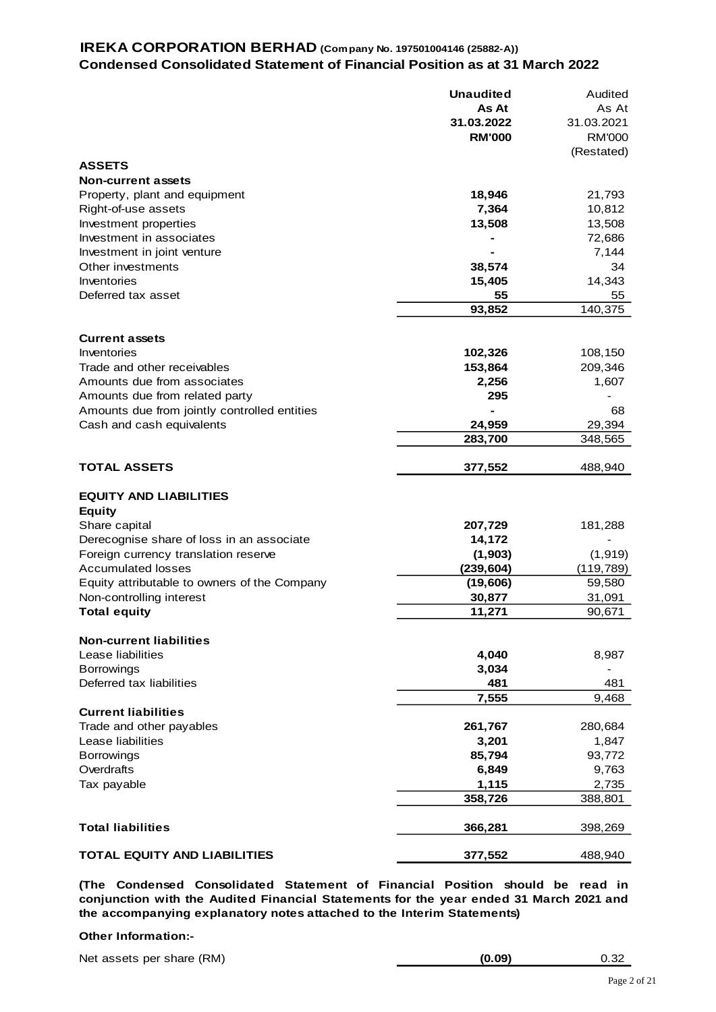# **IREKA CORPORATION BERHAD (Company No. 197501004146 (25882-A)) Condensed Consolidated Statement of Financial Position as at 31 March 2022**

|                                               | <b>Unaudited</b><br>As At | Audited<br>As At |
|-----------------------------------------------|---------------------------|------------------|
|                                               | 31.03.2022                | 31.03.2021       |
|                                               | <b>RM'000</b>             | <b>RM'000</b>    |
|                                               |                           | (Restated)       |
| <b>ASSETS</b>                                 |                           |                  |
| <b>Non-current assets</b>                     |                           |                  |
| Property, plant and equipment                 | 18,946                    | 21,793           |
| Right-of-use assets                           | 7,364                     | 10,812           |
| Investment properties                         | 13,508                    | 13,508           |
| Investment in associates                      |                           | 72,686           |
| Investment in joint venture                   |                           | 7,144            |
| Other investments                             | 38,574                    | 34               |
| Inventories                                   | 15,405                    | 14,343           |
| Deferred tax asset                            | 55                        | 55               |
|                                               | 93,852                    | 140,375          |
| <b>Current assets</b>                         |                           |                  |
| Inventories                                   | 102,326                   | 108,150          |
| Trade and other receivables                   | 153,864                   | 209,346          |
| Amounts due from associates                   | 2,256                     | 1,607            |
| Amounts due from related party                | 295                       |                  |
| Amounts due from jointly controlled entities  |                           | 68               |
| Cash and cash equivalents                     | 24,959                    | 29,394           |
|                                               | 283,700                   | 348,565          |
| <b>TOTAL ASSETS</b>                           | 377,552                   | 488,940          |
| <b>EQUITY AND LIABILITIES</b>                 |                           |                  |
| <b>Equity</b>                                 |                           |                  |
| Share capital                                 | 207,729                   | 181,288          |
| Derecognise share of loss in an associate     | 14,172                    |                  |
| Foreign currency translation reserve          | (1, 903)                  | (1, 919)         |
| <b>Accumulated losses</b>                     | (239, 604)                | (119, 789)       |
| Equity attributable to owners of the Company  | (19, 606)                 | 59,580           |
| Non-controlling interest                      | 30,877                    | 31,091           |
| <b>Total equity</b>                           | 11,271                    | 90,671           |
|                                               |                           |                  |
| <b>Non-current liabilities</b>                |                           |                  |
| Lease liabilities                             | 4,040                     | 8,987            |
| <b>Borrowings</b>                             | 3,034                     |                  |
| Deferred tax liabilities                      | 481                       | 481              |
|                                               | 7,555                     | 9,468            |
| <b>Current liabilities</b>                    |                           |                  |
| Trade and other payables<br>Lease liabilities | 261,767                   | 280,684          |
| <b>Borrowings</b>                             | 3,201<br>85,794           | 1,847            |
| Overdrafts                                    | 6,849                     | 93,772<br>9,763  |
|                                               | 1,115                     |                  |
| Tax payable                                   | 358,726                   | 2,735<br>388,801 |
|                                               |                           |                  |
| <b>Total liabilities</b>                      | 366,281                   | 398,269          |
| <b>TOTAL EQUITY AND LIABILITIES</b>           | 377,552                   | 488,940          |

**(The Condensed Consolidated Statement of Financial Position should be read i n conjunction with the Audited Financial Statements for the year ended 31 March 2021 and the accompanying explanatory notes attached to the Interim Statements)**

#### **Other Information:-**

| Net assets per share (RM) | (0.09) | 0.32 |
|---------------------------|--------|------|
|---------------------------|--------|------|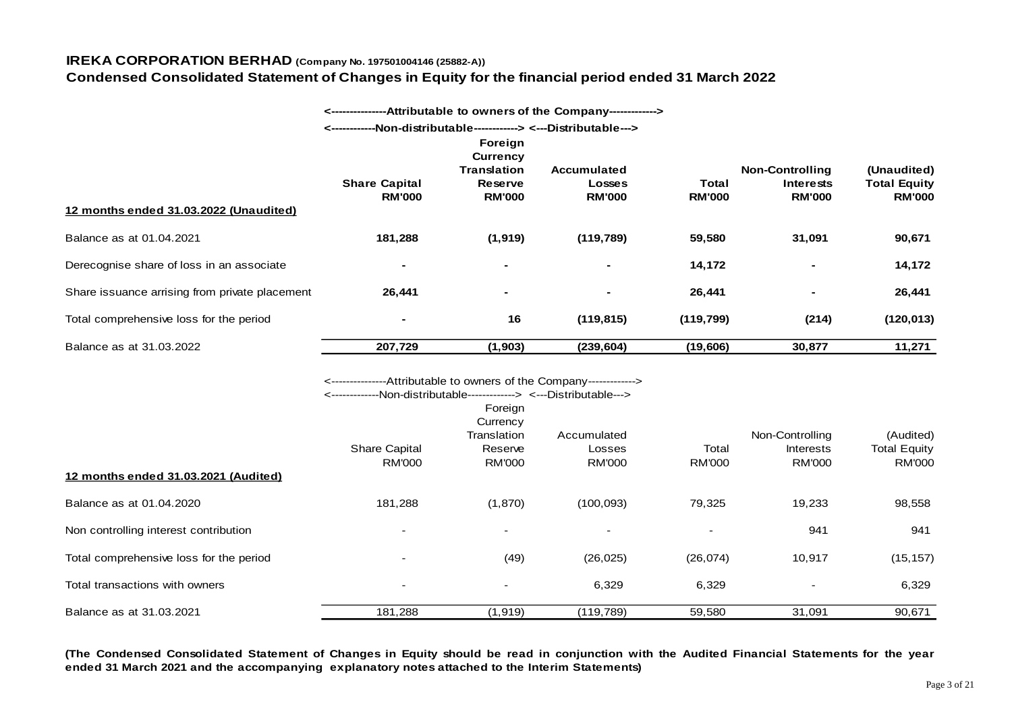**Condensed Consolidated Statement of Changes in Equity for the financial period ended 31 March 2022**

|                                                |                                                                                                                                              |                                                                    | ---Attributable to owners of the Company-------------> |               |                                            |                                    |
|------------------------------------------------|----------------------------------------------------------------------------------------------------------------------------------------------|--------------------------------------------------------------------|--------------------------------------------------------|---------------|--------------------------------------------|------------------------------------|
|                                                |                                                                                                                                              |                                                                    | -Non-distributable------------> <---Distributable--->  |               |                                            |                                    |
|                                                | <b>Share Capital</b>                                                                                                                         | Foreign<br><b>Currency</b><br><b>Translation</b><br><b>Reserve</b> | <b>Accumulated</b><br><b>Losses</b>                    | <b>Total</b>  | <b>Non-Controlling</b><br><b>Interests</b> | (Unaudited)<br><b>Total Equity</b> |
| 12 months ended 31.03.2022 (Unaudited)         | <b>RM'000</b>                                                                                                                                | <b>RM'000</b>                                                      | <b>RM'000</b>                                          | <b>RM'000</b> | <b>RM'000</b>                              | <b>RM'000</b>                      |
|                                                |                                                                                                                                              |                                                                    |                                                        |               |                                            |                                    |
| Balance as at 01.04.2021                       | 181,288                                                                                                                                      | (1, 919)                                                           | (119, 789)                                             | 59,580        | 31,091                                     | 90,671                             |
| Derecognise share of loss in an associate      |                                                                                                                                              |                                                                    |                                                        | 14,172        |                                            | 14,172                             |
| Share issuance arrising from private placement | 26,441                                                                                                                                       |                                                                    |                                                        | 26,441        |                                            | 26,441                             |
| Total comprehensive loss for the period        |                                                                                                                                              | 16                                                                 | (119, 815)                                             | (119, 799)    | (214)                                      | (120, 013)                         |
| Balance as at 31.03.2022                       | 207,729                                                                                                                                      | (1, 903)                                                           | (239, 604)                                             | (19,606)      | 30,877                                     | 11,271                             |
|                                                | <----------------Attributable to owners of the Company-------------><br><--------------Non-distributable-------------> <---Distributable---> | Foreign<br>Currency<br>Translation                                 | Accumulated                                            |               | Non-Controlling                            | (Audited)                          |
|                                                | Share Capital                                                                                                                                | Reserve                                                            | Losses                                                 | Total         | <b>Interests</b>                           | <b>Total Equity</b>                |
| 12 months ended 31.03.2021 (Audited)           | <b>RM'000</b>                                                                                                                                | <b>RM'000</b>                                                      | <b>RM'000</b>                                          | <b>RM'000</b> | <b>RM'000</b>                              | <b>RM'000</b>                      |
| Balance as at 01.04.2020                       | 181,288                                                                                                                                      | (1, 870)                                                           | (100, 093)                                             | 79,325        | 19,233                                     | 98,558                             |
| Non controlling interest contribution          |                                                                                                                                              |                                                                    | $\blacksquare$                                         |               | 941                                        | 941                                |
| Total comprehensive loss for the period        |                                                                                                                                              | (49)                                                               | (26, 025)                                              | (26, 074)     | 10,917                                     | (15, 157)                          |
| Total transactions with owners                 |                                                                                                                                              |                                                                    | 6,329                                                  | 6,329         |                                            | 6,329                              |
| Balance as at 31.03.2021                       | 181,288                                                                                                                                      | (1, 919)                                                           | (119, 789)                                             | 59,580        | 31,091                                     | 90,671                             |

(The Condensed Consolidated Statement of Changes in Equity should be read in conjunction with the Audited Financial Statements for the year **ended 31 March 2021 and the accompanying explanatory notes attached to the Interim Statements)**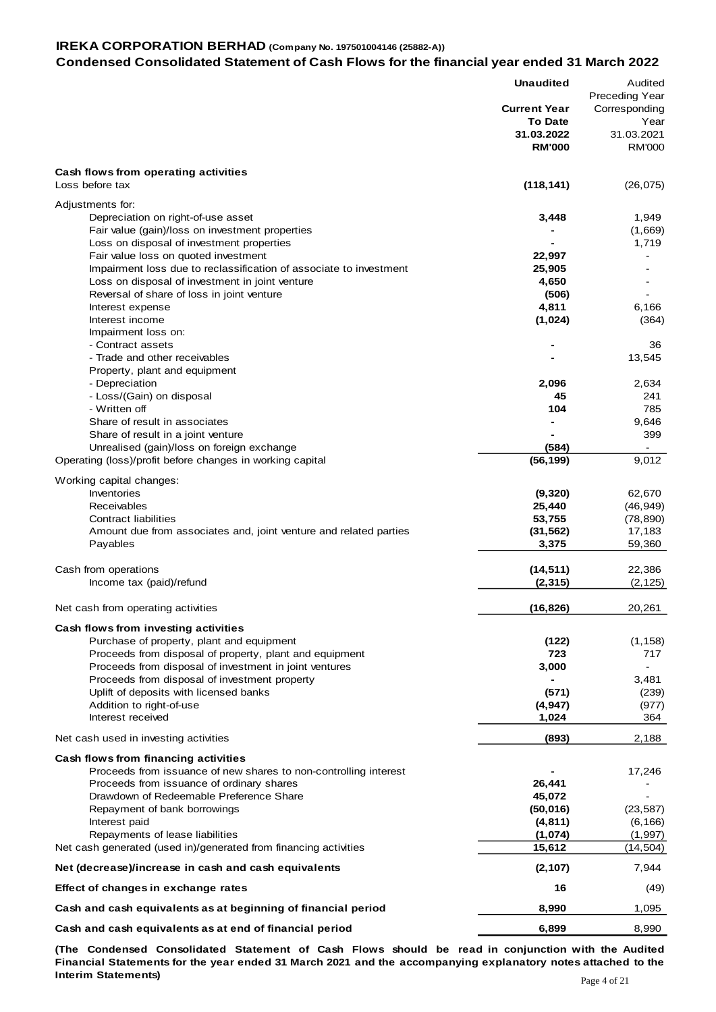#### **IREKA CORPORATION BERHAD (Company No. 197501004146 (25882-A)) Condensed Consolidated Statement of Cash Flows for the financial year ended 31 March 2022**

|                                                                                                            | <b>Unaudited</b>                      | Audited<br><b>Preceding Year</b>    |
|------------------------------------------------------------------------------------------------------------|---------------------------------------|-------------------------------------|
|                                                                                                            | <b>Current Year</b><br><b>To Date</b> | Corresponding                       |
|                                                                                                            | 31.03.2022<br><b>RM'000</b>           | Year<br>31.03.2021<br><b>RM'000</b> |
| Cash flows from operating activities                                                                       |                                       |                                     |
| Loss before tax                                                                                            | (118, 141)                            | (26, 075)                           |
| Adjustments for:                                                                                           |                                       |                                     |
| Depreciation on right-of-use asset                                                                         | 3,448                                 | 1,949                               |
| Fair value (gain)/loss on investment properties                                                            |                                       | (1,669)                             |
| Loss on disposal of investment properties                                                                  |                                       | 1,719                               |
| Fair value loss on quoted investment<br>Impairment loss due to reclassification of associate to investment | 22,997<br>25,905                      |                                     |
| Loss on disposal of investment in joint venture                                                            | 4,650                                 |                                     |
| Reversal of share of loss in joint venture                                                                 | (506)                                 |                                     |
| Interest expense                                                                                           | 4,811                                 | 6,166                               |
| Interest income<br>Impairment loss on:                                                                     | (1,024)                               | (364)                               |
| - Contract assets                                                                                          |                                       | 36                                  |
| - Trade and other receivables                                                                              |                                       | 13,545                              |
| Property, plant and equipment                                                                              |                                       |                                     |
| - Depreciation<br>- Loss/(Gain) on disposal                                                                | 2,096<br>45                           | 2,634<br>241                        |
| - Written off                                                                                              | 104                                   | 785                                 |
| Share of result in associates                                                                              |                                       | 9,646                               |
| Share of result in a joint venture                                                                         |                                       | 399                                 |
| Unrealised (gain)/loss on foreign exchange<br>Operating (loss)/profit before changes in working capital    | (584)<br>(56, 199)                    | 9,012                               |
|                                                                                                            |                                       |                                     |
| Working capital changes:<br>Inventories                                                                    | (9,320)                               | 62,670                              |
| Receivables                                                                                                | 25,440                                | (46, 949)                           |
| Contract liabilities                                                                                       | 53,755                                | (78, 890)                           |
| Amount due from associates and, joint venture and related parties                                          | (31, 562)                             | 17,183                              |
| Payables                                                                                                   | 3,375                                 | 59,360                              |
| Cash from operations                                                                                       | (14, 511)                             | 22,386                              |
| Income tax (paid)/refund                                                                                   | (2, 315)                              | (2, 125)                            |
| Net cash from operating activities                                                                         | (16, 826)                             | 20,261                              |
|                                                                                                            |                                       |                                     |
| Cash flows from investing activities<br>Purchase of property, plant and equipment                          | (122)                                 | (1, 158)                            |
| Proceeds from disposal of property, plant and equipment                                                    | 723                                   | 717                                 |
| Proceeds from disposal of investment in joint ventures                                                     | 3,000                                 |                                     |
| Proceeds from disposal of investment property                                                              |                                       | 3,481                               |
| Uplift of deposits with licensed banks<br>Addition to right-of-use                                         | (571)<br>(4,947)                      | (239)<br>(977)                      |
| Interest received                                                                                          | 1,024                                 | 364                                 |
| Net cash used in investing activities                                                                      | (893)                                 | 2,188                               |
|                                                                                                            |                                       |                                     |
| Cash flows from financing activities<br>Proceeds from issuance of new shares to non-controlling interest   |                                       | 17,246                              |
| Proceeds from issuance of ordinary shares                                                                  | 26,441                                |                                     |
| Drawdown of Redeemable Preference Share                                                                    | 45,072                                |                                     |
| Repayment of bank borrowings<br>Interest paid                                                              | (50, 016)<br>(4, 811)                 | (23, 587)<br>(6, 166)               |
| Repayments of lease liabilities                                                                            | (1,074)                               | (1, 997)                            |
| Net cash generated (used in)/generated from financing activities                                           | 15,612                                | (14, 504)                           |
| Net (decrease)/increase in cash and cash equivalents                                                       | (2, 107)                              | 7,944                               |
| Effect of changes in exchange rates                                                                        | 16                                    | (49)                                |
| Cash and cash equivalents as at beginning of financial period                                              | 8,990                                 | 1,095                               |
| Cash and cash equivalents as at end of financial period                                                    | 6,899                                 | 8,990                               |

**(The Condensed Consolidated Statement of Cash Flows should be read i n conjunction with the Audited** Financial Statements for the year ended 31 March 2021 and the accompanying explanatory notes attached to the **Interim Statements)**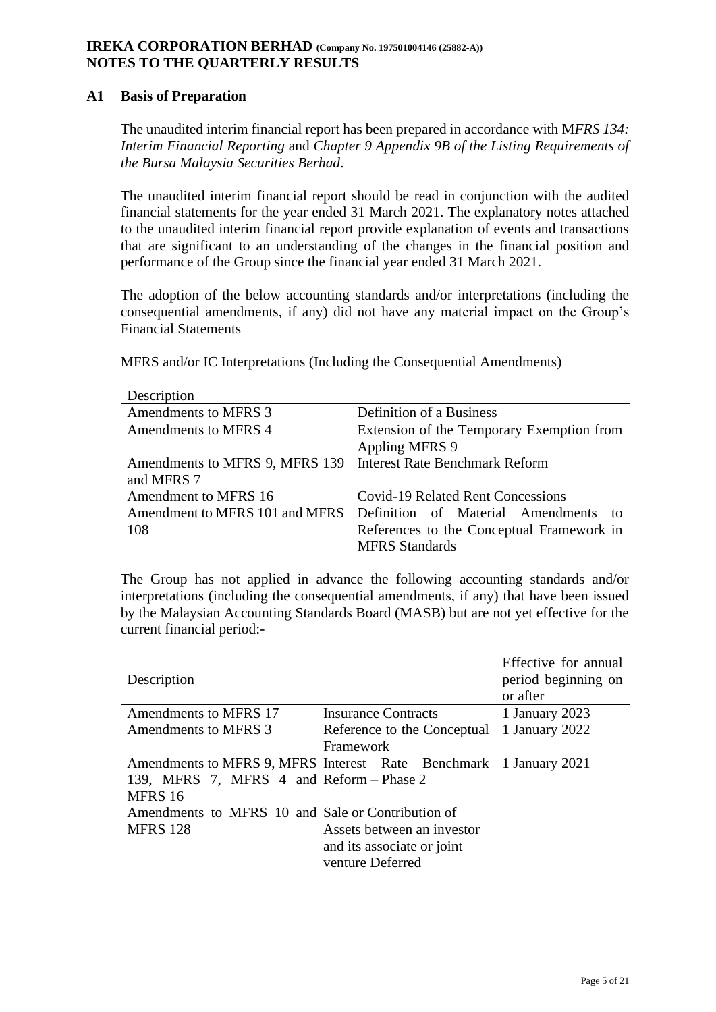## **IREKA CORPORATION BERHAD (Company No. 197501004146 (25882-A)) NOTES TO THE QUARTERLY RESULTS**

## **A1 Basis of Preparation**

The unaudited interim financial report has been prepared in accordance with M*FRS 134: Interim Financial Reporting* and *Chapter 9 Appendix 9B of the Listing Requirements of the Bursa Malaysia Securities Berhad*.

The unaudited interim financial report should be read in conjunction with the audited financial statements for the year ended 31 March 2021. The explanatory notes attached to the unaudited interim financial report provide explanation of events and transactions that are significant to an understanding of the changes in the financial position and performance of the Group since the financial year ended 31 March 2021.

The adoption of the below accounting standards and/or interpretations (including the consequential amendments, if any) did not have any material impact on the Group's Financial Statements

MFRS and/or IC Interpretations (Including the Consequential Amendments)

| Description                    |                                           |
|--------------------------------|-------------------------------------------|
| Amendments to MFRS 3           | Definition of a Business                  |
| Amendments to MFRS 4           | Extension of the Temporary Exemption from |
|                                | <b>Appling MFRS 9</b>                     |
| Amendments to MFRS 9, MFRS 139 | <b>Interest Rate Benchmark Reform</b>     |
| and MFRS 7                     |                                           |
| Amendment to MFRS 16           | <b>Covid-19 Related Rent Concessions</b>  |
| Amendment to MFRS 101 and MFRS | Definition of Material Amendments to      |
| 108                            | References to the Conceptual Framework in |
|                                | <b>MFRS</b> Standards                     |

The Group has not applied in advance the following accounting standards and/or interpretations (including the consequential amendments, if any) that have been issued by the Malaysian Accounting Standards Board (MASB) but are not yet effective for the current financial period:-

| Description                                                       |                             | Effective for annual<br>period beginning on<br>or after |
|-------------------------------------------------------------------|-----------------------------|---------------------------------------------------------|
| Amendments to MFRS 17                                             | <b>Insurance Contracts</b>  | 1 January 2023                                          |
| Amendments to MFRS 3                                              | Reference to the Conceptual | 1 January 2022                                          |
|                                                                   | Framework                   |                                                         |
| Amendments to MFRS 9, MFRS Interest Rate Benchmark 1 January 2021 |                             |                                                         |
| 139, MFRS 7, MFRS 4 and Reform – Phase 2                          |                             |                                                         |
| MFRS 16                                                           |                             |                                                         |
| Amendments to MFRS 10 and Sale or Contribution of                 |                             |                                                         |
| <b>MFRS</b> 128<br>Assets between an investor                     |                             |                                                         |
| and its associate or joint                                        |                             |                                                         |
|                                                                   | venture Deferred            |                                                         |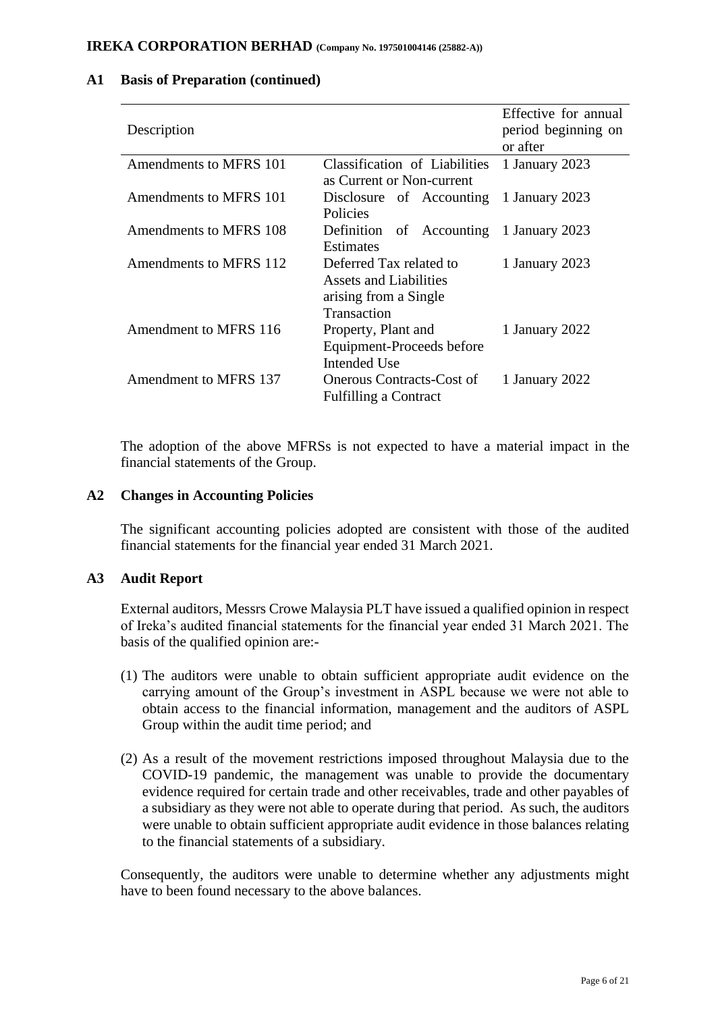| Description                  |                                                                                           | Effective for annual<br>period beginning on<br>or after |
|------------------------------|-------------------------------------------------------------------------------------------|---------------------------------------------------------|
| Amendments to MFRS 101       | Classification of Liabilities<br>as Current or Non-current                                | 1 January 2023                                          |
| Amendments to MFRS 101       | Disclosure of Accounting<br>Policies                                                      | 1 January 2023                                          |
| Amendments to MFRS 108       | Definition of Accounting 1 January 2023<br><b>Estimates</b>                               |                                                         |
| Amendments to MFRS 112       | Deferred Tax related to<br>Assets and Liabilities<br>arising from a Single<br>Transaction | 1 January 2023                                          |
| Amendment to MFRS 116        | Property, Plant and<br>Equipment-Proceeds before<br>Intended Use                          | 1 January 2022                                          |
| <b>Amendment to MFRS 137</b> | <b>Onerous Contracts-Cost of</b><br><b>Fulfilling a Contract</b>                          | 1 January 2022                                          |

#### **A1 Basis of Preparation (continued)**

The adoption of the above MFRSs is not expected to have a material impact in the financial statements of the Group.

#### **A2 Changes in Accounting Policies**

The significant accounting policies adopted are consistent with those of the audited financial statements for the financial year ended 31 March 2021.

#### **A3 Audit Report**

External auditors, Messrs Crowe Malaysia PLT have issued a qualified opinion in respect of Ireka's audited financial statements for the financial year ended 31 March 2021. The basis of the qualified opinion are:-

- (1) The auditors were unable to obtain sufficient appropriate audit evidence on the carrying amount of the Group's investment in ASPL because we were not able to obtain access to the financial information, management and the auditors of ASPL Group within the audit time period; and
- (2) As a result of the movement restrictions imposed throughout Malaysia due to the COVID-19 pandemic, the management was unable to provide the documentary evidence required for certain trade and other receivables, trade and other payables of a subsidiary as they were not able to operate during that period. As such, the auditors were unable to obtain sufficient appropriate audit evidence in those balances relating to the financial statements of a subsidiary.

Consequently, the auditors were unable to determine whether any adjustments might have to been found necessary to the above balances.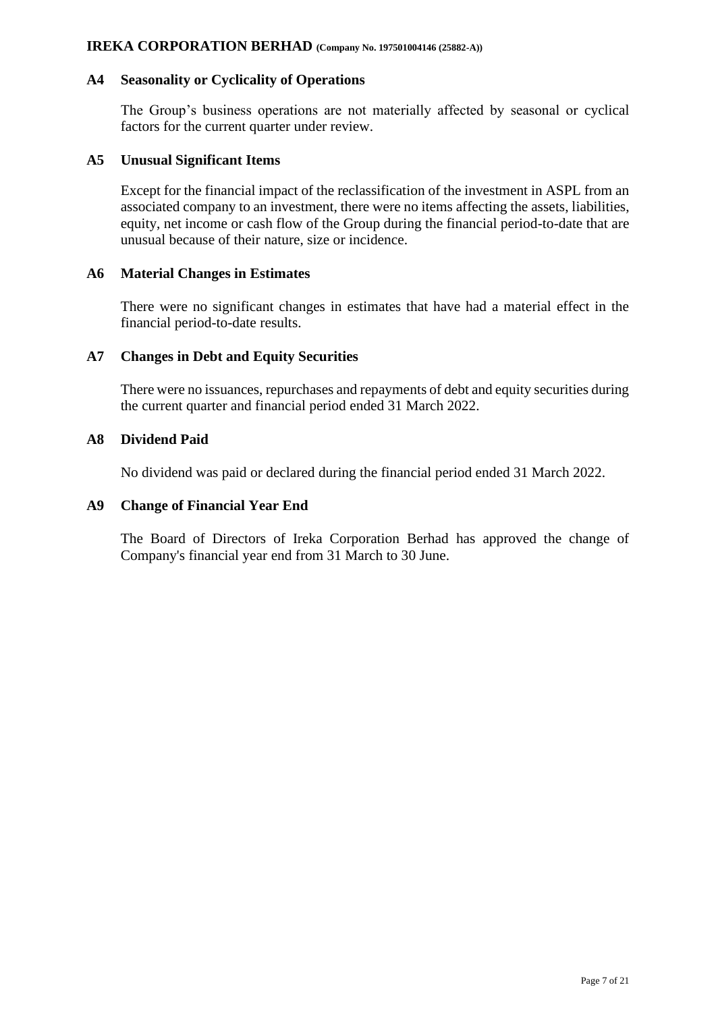## **A4 Seasonality or Cyclicality of Operations**

The Group's business operations are not materially affected by seasonal or cyclical factors for the current quarter under review.

#### **A5 Unusual Significant Items**

Except for the financial impact of the reclassification of the investment in ASPL from an associated company to an investment, there were no items affecting the assets, liabilities, equity, net income or cash flow of the Group during the financial period-to-date that are unusual because of their nature, size or incidence.

#### **A6 Material Changes in Estimates**

There were no significant changes in estimates that have had a material effect in the financial period-to-date results.

## **A7 Changes in Debt and Equity Securities**

There were no issuances, repurchases and repayments of debt and equity securities during the current quarter and financial period ended 31 March 2022.

#### **A8 Dividend Paid**

No dividend was paid or declared during the financial period ended 31 March 2022.

#### **A9 Change of Financial Year End**

The Board of Directors of Ireka Corporation Berhad has approved the change of Company's financial year end from 31 March to 30 June.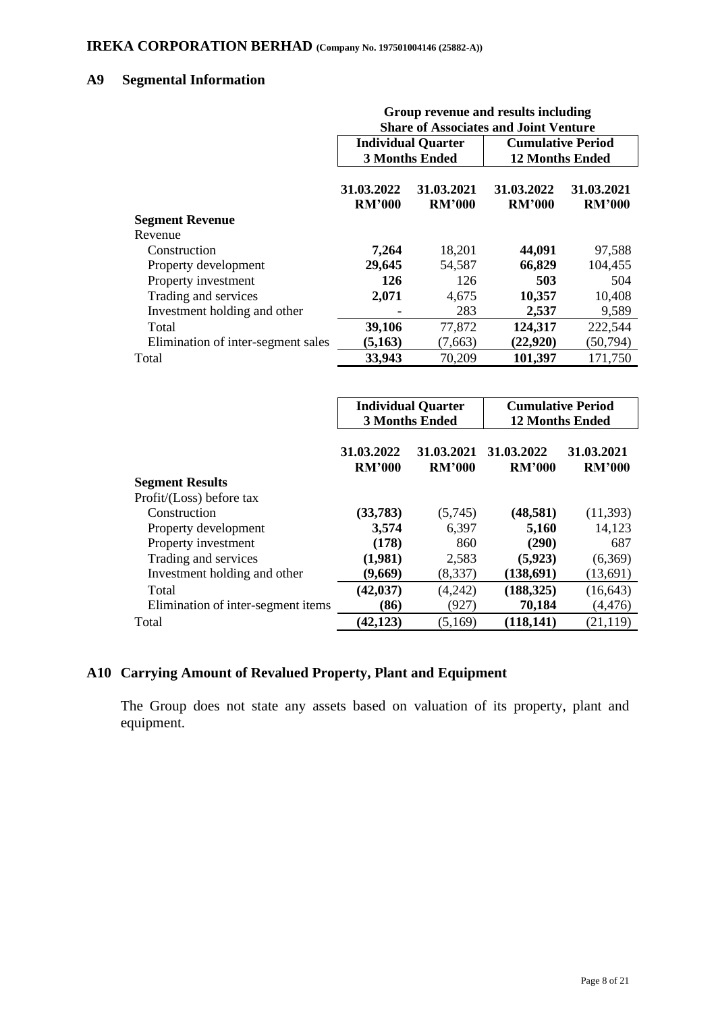# **A9 Segmental Information**

|                                    | Group revenue and results including<br><b>Share of Associates and Joint Venture</b> |                             |                             |                             |
|------------------------------------|-------------------------------------------------------------------------------------|-----------------------------|-----------------------------|-----------------------------|
|                                    |                                                                                     | <b>Individual Quarter</b>   | <b>Cumulative Period</b>    |                             |
|                                    |                                                                                     | <b>3 Months Ended</b>       | <b>12 Months Ended</b>      |                             |
|                                    | 31.03.2022<br><b>RM'000</b>                                                         | 31.03.2021<br><b>RM'000</b> | 31.03.2022<br><b>RM'000</b> | 31.03.2021<br><b>RM'000</b> |
| <b>Segment Revenue</b>             |                                                                                     |                             |                             |                             |
| Revenue                            |                                                                                     |                             |                             |                             |
| Construction                       | 7,264                                                                               | 18,201                      | 44,091                      | 97,588                      |
| Property development               | 29,645                                                                              | 54,587                      | 66,829                      | 104,455                     |
| Property investment                | 126                                                                                 | 126                         | 503                         | 504                         |
| Trading and services               | 2,071                                                                               | 4,675                       | 10,357                      | 10,408                      |
| Investment holding and other       |                                                                                     | 283                         | 2,537                       | 9,589                       |
| Total                              | 39,106                                                                              | 77,872                      | 124,317                     | 222,544                     |
| Elimination of inter-segment sales | (5,163)                                                                             | (7,663)                     | (22, 920)                   | (50, 794)                   |
| Total                              | 33,943                                                                              | 70,209                      | 101,397                     | 171,750                     |

|                                    | <b>Individual Quarter</b><br><b>3 Months Ended</b> |                             | <b>Cumulative Period</b><br><b>12 Months Ended</b> |                             |
|------------------------------------|----------------------------------------------------|-----------------------------|----------------------------------------------------|-----------------------------|
|                                    | 31.03.2022<br><b>RM'000</b>                        | 31.03.2021<br><b>RM'000</b> | 31.03.2022<br><b>RM'000</b>                        | 31.03.2021<br><b>RM'000</b> |
| <b>Segment Results</b>             |                                                    |                             |                                                    |                             |
| Profit/(Loss) before tax           |                                                    |                             |                                                    |                             |
| Construction                       | (33, 783)                                          | (5,745)                     | (48, 581)                                          | (11, 393)                   |
| Property development               | 3,574                                              | 6,397                       | 5,160                                              | 14,123                      |
| Property investment                | (178)                                              | 860                         | (290)                                              | 687                         |
| Trading and services               | (1,981)                                            | 2,583                       | (5, 923)                                           | (6,369)                     |
| Investment holding and other       | (9,669)                                            | (8,337)                     | (138,691)                                          | (13,691)                    |
| Total                              | (42, 037)                                          | (4,242)                     | (188, 325)                                         | (16, 643)                   |
| Elimination of inter-segment items | (86)                                               | (927)                       | 70,184                                             | (4, 476)                    |
| Total                              | (42, 123)                                          | (5,169)                     | (118, 141)                                         | (21, 119)                   |

# **A10 Carrying Amount of Revalued Property, Plant and Equipment**

The Group does not state any assets based on valuation of its property, plant and equipment.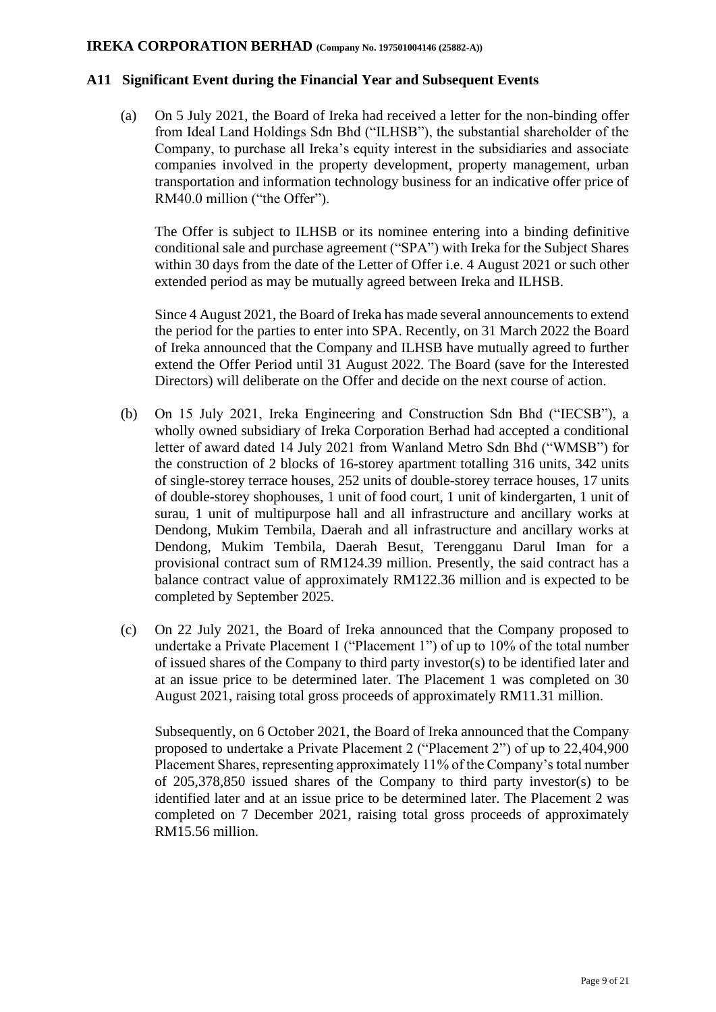#### **A11 Significant Event during the Financial Year and Subsequent Events**

(a) On 5 July 2021, the Board of Ireka had received a letter for the non-binding offer from Ideal Land Holdings Sdn Bhd ("ILHSB"), the substantial shareholder of the Company, to purchase all Ireka's equity interest in the subsidiaries and associate companies involved in the property development, property management, urban transportation and information technology business for an indicative offer price of RM40.0 million ("the Offer").

The Offer is subject to ILHSB or its nominee entering into a binding definitive conditional sale and purchase agreement ("SPA") with Ireka for the Subject Shares within 30 days from the date of the Letter of Offer i.e. 4 August 2021 or such other extended period as may be mutually agreed between Ireka and ILHSB.

Since 4 August 2021, the Board of Ireka has made several announcements to extend the period for the parties to enter into SPA. Recently, on 31 March 2022 the Board of Ireka announced that the Company and ILHSB have mutually agreed to further extend the Offer Period until 31 August 2022. The Board (save for the Interested Directors) will deliberate on the Offer and decide on the next course of action.

- (b) On 15 July 2021, Ireka Engineering and Construction Sdn Bhd ("IECSB"), a wholly owned subsidiary of Ireka Corporation Berhad had accepted a conditional letter of award dated 14 July 2021 from Wanland Metro Sdn Bhd ("WMSB") for the construction of 2 blocks of 16-storey apartment totalling 316 units, 342 units of single-storey terrace houses, 252 units of double-storey terrace houses, 17 units of double-storey shophouses, 1 unit of food court, 1 unit of kindergarten, 1 unit of surau, 1 unit of multipurpose hall and all infrastructure and ancillary works at Dendong, Mukim Tembila, Daerah and all infrastructure and ancillary works at Dendong, Mukim Tembila, Daerah Besut, Terengganu Darul Iman for a provisional contract sum of RM124.39 million. Presently, the said contract has a balance contract value of approximately RM122.36 million and is expected to be completed by September 2025.
- (c) On 22 July 2021, the Board of Ireka announced that the Company proposed to undertake a Private Placement 1 ("Placement 1") of up to 10% of the total number of issued shares of the Company to third party investor(s) to be identified later and at an issue price to be determined later. The Placement 1 was completed on 30 August 2021, raising total gross proceeds of approximately RM11.31 million.

Subsequently, on 6 October 2021, the Board of Ireka announced that the Company proposed to undertake a Private Placement 2 ("Placement 2") of up to 22,404,900 Placement Shares, representing approximately 11% of the Company's total number of 205,378,850 issued shares of the Company to third party investor(s) to be identified later and at an issue price to be determined later. The Placement 2 was completed on 7 December 2021, raising total gross proceeds of approximately RM15.56 million.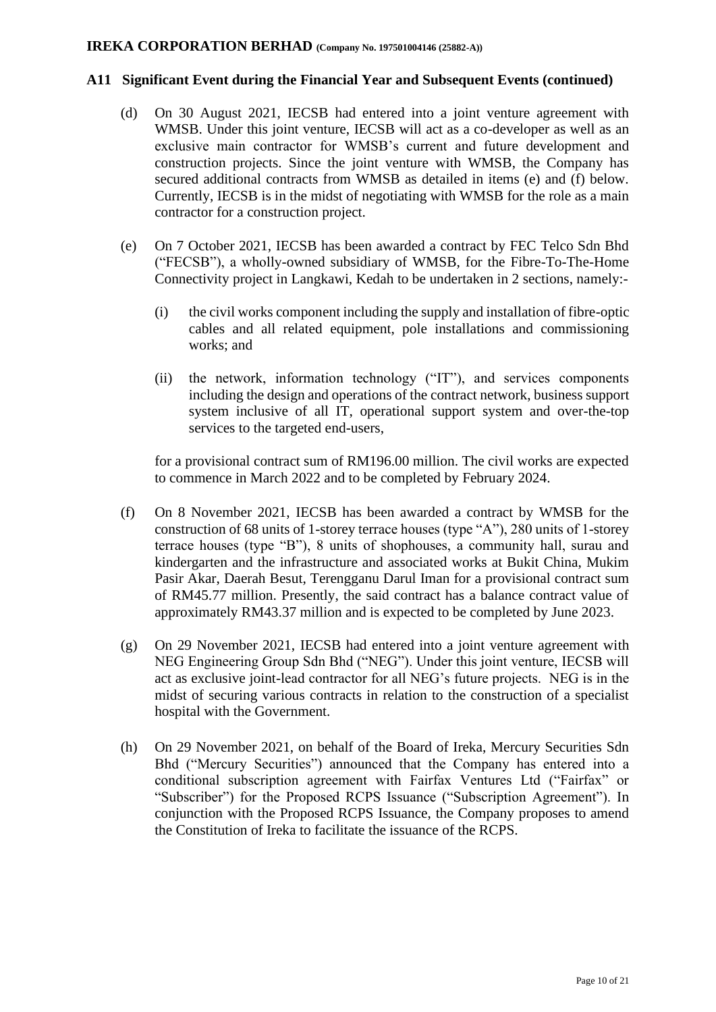#### **A11 Significant Event during the Financial Year and Subsequent Events (continued)**

- (d) On 30 August 2021, IECSB had entered into a joint venture agreement with WMSB. Under this joint venture, IECSB will act as a co-developer as well as an exclusive main contractor for WMSB's current and future development and construction projects. Since the joint venture with WMSB, the Company has secured additional contracts from WMSB as detailed in items (e) and (f) below. Currently, IECSB is in the midst of negotiating with WMSB for the role as a main contractor for a construction project.
- (e) On 7 October 2021, IECSB has been awarded a contract by FEC Telco Sdn Bhd ("FECSB"), a wholly-owned subsidiary of WMSB, for the Fibre-To-The-Home Connectivity project in Langkawi, Kedah to be undertaken in 2 sections, namely:-
	- (i) the civil works component including the supply and installation of fibre-optic cables and all related equipment, pole installations and commissioning works; and
	- (ii) the network, information technology ("IT"), and services components including the design and operations of the contract network, business support system inclusive of all IT, operational support system and over-the-top services to the targeted end-users,

for a provisional contract sum of RM196.00 million. The civil works are expected to commence in March 2022 and to be completed by February 2024.

- (f) On 8 November 2021, IECSB has been awarded a contract by WMSB for the construction of 68 units of 1-storey terrace houses (type "A"), 280 units of 1-storey terrace houses (type "B"), 8 units of shophouses, a community hall, surau and kindergarten and the infrastructure and associated works at Bukit China, Mukim Pasir Akar, Daerah Besut, Terengganu Darul Iman for a provisional contract sum of RM45.77 million. Presently, the said contract has a balance contract value of approximately RM43.37 million and is expected to be completed by June 2023.
- (g) On 29 November 2021, IECSB had entered into a joint venture agreement with NEG Engineering Group Sdn Bhd ("NEG"). Under this joint venture, IECSB will act as exclusive joint-lead contractor for all NEG's future projects. NEG is in the midst of securing various contracts in relation to the construction of a specialist hospital with the Government.
- (h) On 29 November 2021, on behalf of the Board of Ireka, Mercury Securities Sdn Bhd ("Mercury Securities") announced that the Company has entered into a conditional subscription agreement with Fairfax Ventures Ltd ("Fairfax" or "Subscriber") for the Proposed RCPS Issuance ("Subscription Agreement"). In conjunction with the Proposed RCPS Issuance, the Company proposes to amend the Constitution of Ireka to facilitate the issuance of the RCPS.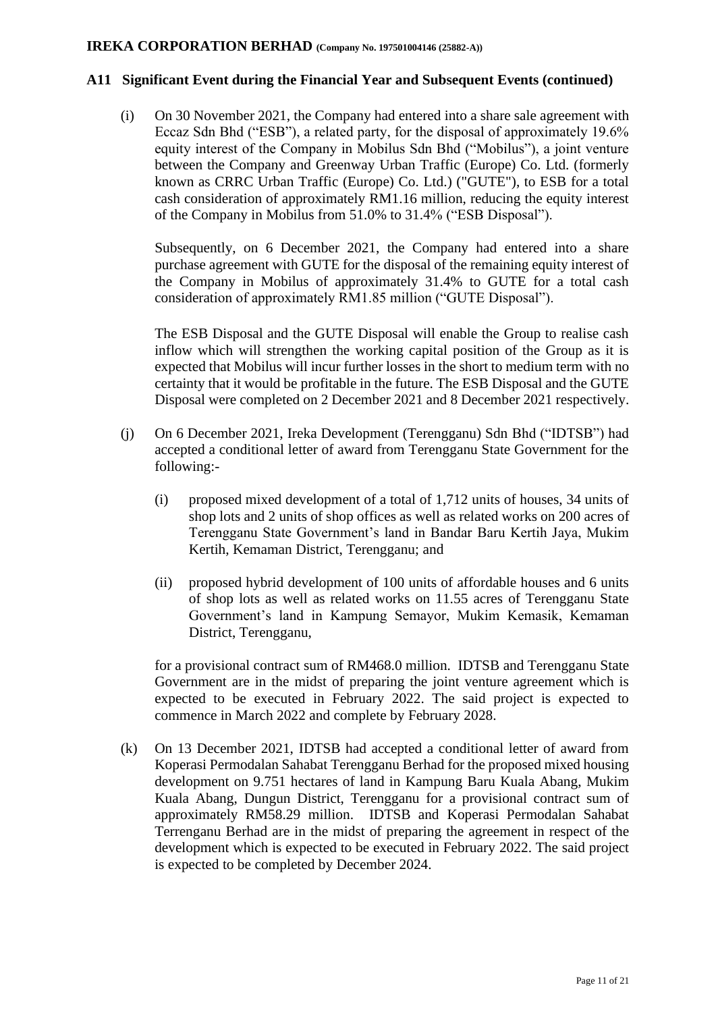#### **A11 Significant Event during the Financial Year and Subsequent Events (continued)**

(i) On 30 November 2021, the Company had entered into a share sale agreement with Eccaz Sdn Bhd ("ESB"), a related party, for the disposal of approximately 19.6% equity interest of the Company in Mobilus Sdn Bhd ("Mobilus"), a joint venture between the Company and Greenway Urban Traffic (Europe) Co. Ltd. (formerly known as CRRC Urban Traffic (Europe) Co. Ltd.) ("GUTE"), to ESB for a total cash consideration of approximately RM1.16 million, reducing the equity interest of the Company in Mobilus from 51.0% to 31.4% ("ESB Disposal").

Subsequently, on 6 December 2021, the Company had entered into a share purchase agreement with GUTE for the disposal of the remaining equity interest of the Company in Mobilus of approximately 31.4% to GUTE for a total cash consideration of approximately RM1.85 million ("GUTE Disposal").

The ESB Disposal and the GUTE Disposal will enable the Group to realise cash inflow which will strengthen the working capital position of the Group as it is expected that Mobilus will incur further losses in the short to medium term with no certainty that it would be profitable in the future. The ESB Disposal and the GUTE Disposal were completed on 2 December 2021 and 8 December 2021 respectively.

- (j) On 6 December 2021, Ireka Development (Terengganu) Sdn Bhd ("IDTSB") had accepted a conditional letter of award from Terengganu State Government for the following:-
	- (i) proposed mixed development of a total of 1,712 units of houses, 34 units of shop lots and 2 units of shop offices as well as related works on 200 acres of Terengganu State Government's land in Bandar Baru Kertih Jaya, Mukim Kertih, Kemaman District, Terengganu; and
	- (ii) proposed hybrid development of 100 units of affordable houses and 6 units of shop lots as well as related works on 11.55 acres of Terengganu State Government's land in Kampung Semayor, Mukim Kemasik, Kemaman District, Terengganu,

for a provisional contract sum of RM468.0 million. IDTSB and Terengganu State Government are in the midst of preparing the joint venture agreement which is expected to be executed in February 2022. The said project is expected to commence in March 2022 and complete by February 2028.

(k) On 13 December 2021, IDTSB had accepted a conditional letter of award from Koperasi Permodalan Sahabat Terengganu Berhad for the proposed mixed housing development on 9.751 hectares of land in Kampung Baru Kuala Abang, Mukim Kuala Abang, Dungun District, Terengganu for a provisional contract sum of approximately RM58.29 million. IDTSB and Koperasi Permodalan Sahabat Terrenganu Berhad are in the midst of preparing the agreement in respect of the development which is expected to be executed in February 2022. The said project is expected to be completed by December 2024.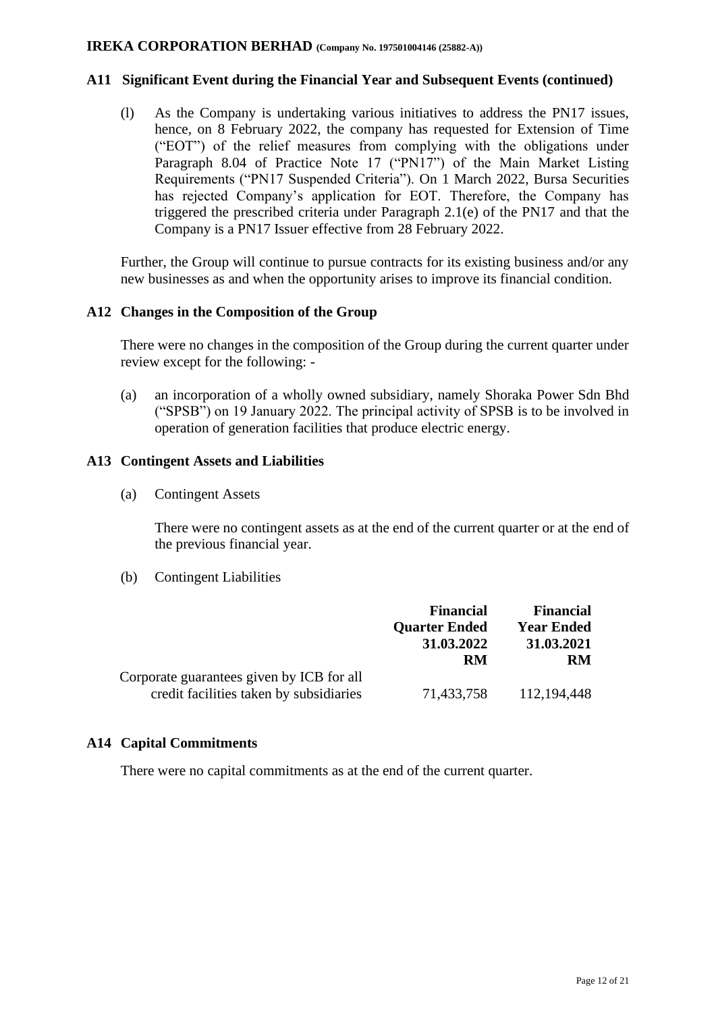#### **A11 Significant Event during the Financial Year and Subsequent Events (continued)**

(l) As the Company is undertaking various initiatives to address the PN17 issues, hence, on 8 February 2022, the company has requested for Extension of Time ("EOT") of the relief measures from complying with the obligations under Paragraph 8.04 of Practice Note 17 ("PN17") of the Main Market Listing Requirements ("PN17 Suspended Criteria"). On 1 March 2022, Bursa Securities has rejected Company's application for EOT. Therefore, the Company has triggered the prescribed criteria under Paragraph 2.1(e) of the PN17 and that the Company is a PN17 Issuer effective from 28 February 2022.

Further, the Group will continue to pursue contracts for its existing business and/or any new businesses as and when the opportunity arises to improve its financial condition.

#### **A12 Changes in the Composition of the Group**

There were no changes in the composition of the Group during the current quarter under review except for the following: -

(a) an incorporation of a wholly owned subsidiary, namely Shoraka Power Sdn Bhd ("SPSB") on 19 January 2022. The principal activity of SPSB is to be involved in operation of generation facilities that produce electric energy.

#### **A13 Contingent Assets and Liabilities**

(a) Contingent Assets

There were no contingent assets as at the end of the current quarter or at the end of the previous financial year.

(b) Contingent Liabilities

|                                           | <b>Financial</b>     | <b>Financial</b>  |
|-------------------------------------------|----------------------|-------------------|
|                                           | <b>Quarter Ended</b> | <b>Year Ended</b> |
|                                           | 31.03.2022           | 31.03.2021        |
|                                           | RM                   | RM                |
| Corporate guarantees given by ICB for all |                      |                   |
| credit facilities taken by subsidiaries   | 71,433,758           | 112,194,448       |

## **A14 Capital Commitments**

There were no capital commitments as at the end of the current quarter.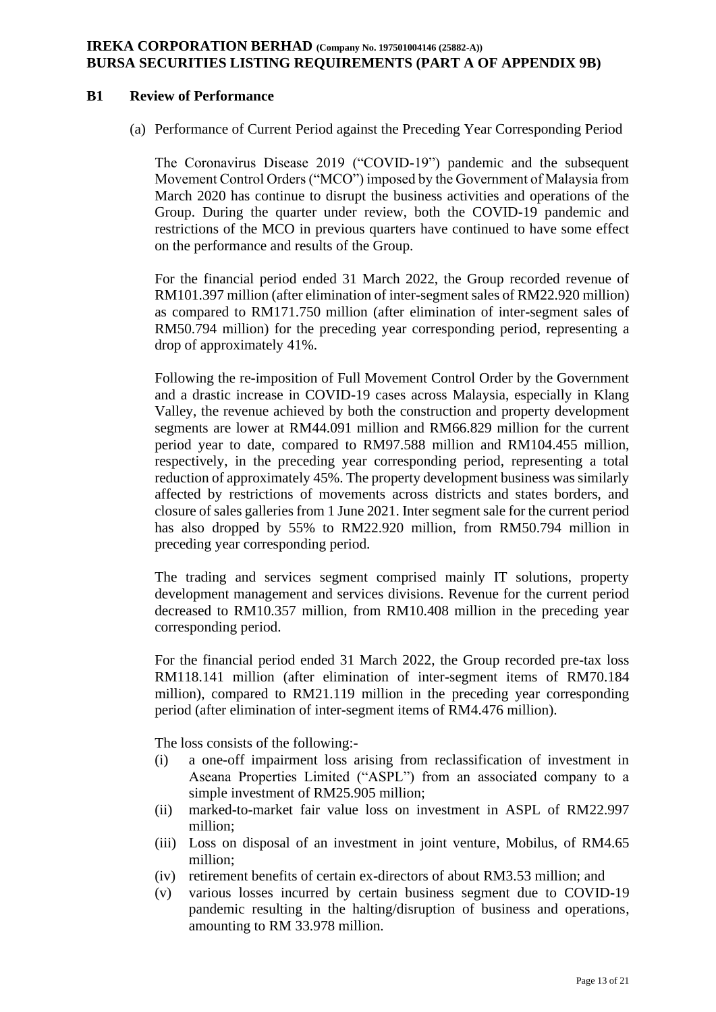### **IREKA CORPORATION BERHAD (Company No. 197501004146 (25882-A)) BURSA SECURITIES LISTING REQUIREMENTS (PART A OF APPENDIX 9B)**

#### **B1 Review of Performance**

(a) Performance of Current Period against the Preceding Year Corresponding Period

The Coronavirus Disease 2019 ("COVID-19") pandemic and the subsequent Movement Control Orders ("MCO") imposed by the Government of Malaysia from March 2020 has continue to disrupt the business activities and operations of the Group. During the quarter under review, both the COVID-19 pandemic and restrictions of the MCO in previous quarters have continued to have some effect on the performance and results of the Group.

For the financial period ended 31 March 2022, the Group recorded revenue of RM101.397 million (after elimination of inter-segment sales of RM22.920 million) as compared to RM171.750 million (after elimination of inter-segment sales of RM50.794 million) for the preceding year corresponding period, representing a drop of approximately 41%.

Following the re-imposition of Full Movement Control Order by the Government and a drastic increase in COVID-19 cases across Malaysia, especially in Klang Valley, the revenue achieved by both the construction and property development segments are lower at RM44.091 million and RM66.829 million for the current period year to date, compared to RM97.588 million and RM104.455 million, respectively, in the preceding year corresponding period, representing a total reduction of approximately 45%. The property development business was similarly affected by restrictions of movements across districts and states borders, and closure of sales galleries from 1 June 2021. Inter segment sale for the current period has also dropped by 55% to RM22.920 million, from RM50.794 million in preceding year corresponding period.

The trading and services segment comprised mainly IT solutions, property development management and services divisions. Revenue for the current period decreased to RM10.357 million, from RM10.408 million in the preceding year corresponding period.

For the financial period ended 31 March 2022, the Group recorded pre-tax loss RM118.141 million (after elimination of inter-segment items of RM70.184 million), compared to RM21.119 million in the preceding year corresponding period (after elimination of inter-segment items of RM4.476 million).

The loss consists of the following:-

- (i) a one-off impairment loss arising from reclassification of investment in Aseana Properties Limited ("ASPL") from an associated company to a simple investment of RM25.905 million;
- (ii) marked-to-market fair value loss on investment in ASPL of RM22.997 million;
- (iii) Loss on disposal of an investment in joint venture, Mobilus, of RM4.65 million;
- (iv) retirement benefits of certain ex-directors of about RM3.53 million; and
- (v) various losses incurred by certain business segment due to COVID-19 pandemic resulting in the halting/disruption of business and operations, amounting to RM 33.978 million.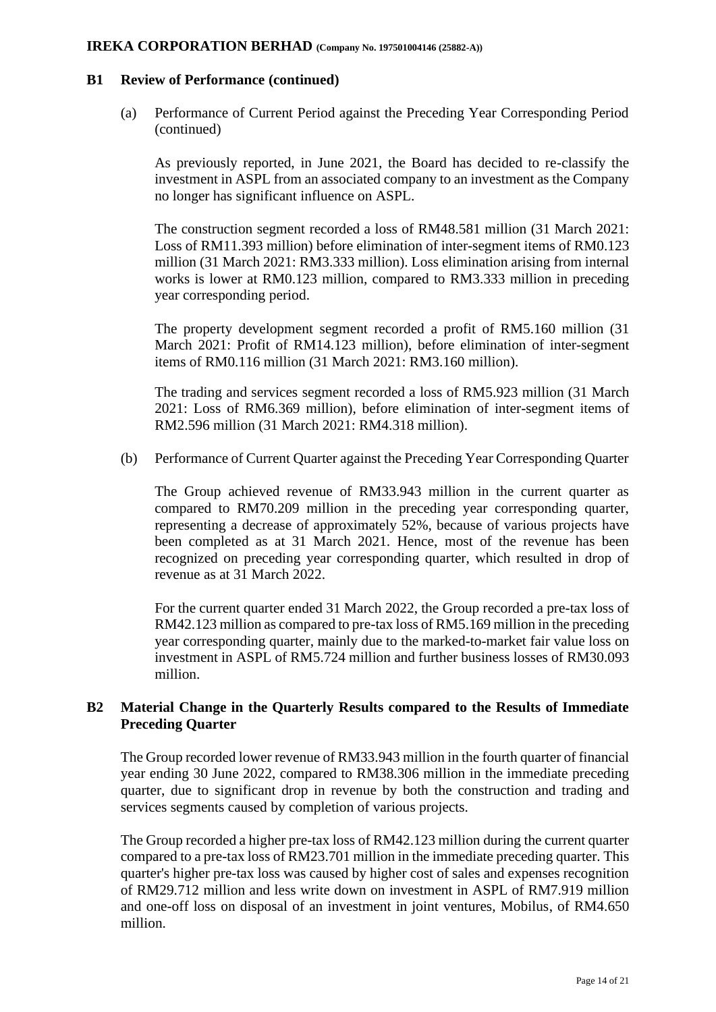#### **B1 Review of Performance (continued)**

(a) Performance of Current Period against the Preceding Year Corresponding Period (continued)

As previously reported, in June 2021, the Board has decided to re-classify the investment in ASPL from an associated company to an investment as the Company no longer has significant influence on ASPL.

The construction segment recorded a loss of RM48.581 million (31 March 2021: Loss of RM11.393 million) before elimination of inter-segment items of RM0.123 million (31 March 2021: RM3.333 million). Loss elimination arising from internal works is lower at RM0.123 million, compared to RM3.333 million in preceding year corresponding period.

The property development segment recorded a profit of RM5.160 million (31 March 2021: Profit of RM14.123 million), before elimination of inter-segment items of RM0.116 million (31 March 2021: RM3.160 million).

The trading and services segment recorded a loss of RM5.923 million (31 March 2021: Loss of RM6.369 million), before elimination of inter-segment items of RM2.596 million (31 March 2021: RM4.318 million).

(b) Performance of Current Quarter against the Preceding Year Corresponding Quarter

The Group achieved revenue of RM33.943 million in the current quarter as compared to RM70.209 million in the preceding year corresponding quarter, representing a decrease of approximately 52%, because of various projects have been completed as at 31 March 2021. Hence, most of the revenue has been recognized on preceding year corresponding quarter, which resulted in drop of revenue as at 31 March 2022.

For the current quarter ended 31 March 2022, the Group recorded a pre-tax loss of RM42.123 million as compared to pre-tax loss of RM5.169 million in the preceding year corresponding quarter, mainly due to the marked-to-market fair value loss on investment in ASPL of RM5.724 million and further business losses of RM30.093 million.

# **B2 Material Change in the Quarterly Results compared to the Results of Immediate Preceding Quarter**

The Group recorded lower revenue of RM33.943 million in the fourth quarter of financial year ending 30 June 2022, compared to RM38.306 million in the immediate preceding quarter, due to significant drop in revenue by both the construction and trading and services segments caused by completion of various projects.

The Group recorded a higher pre-tax loss of RM42.123 million during the current quarter compared to a pre-tax loss of RM23.701 million in the immediate preceding quarter. This quarter's higher pre-tax loss was caused by higher cost of sales and expenses recognition of RM29.712 million and less write down on investment in ASPL of RM7.919 million and one-off loss on disposal of an investment in joint ventures, Mobilus, of RM4.650 million.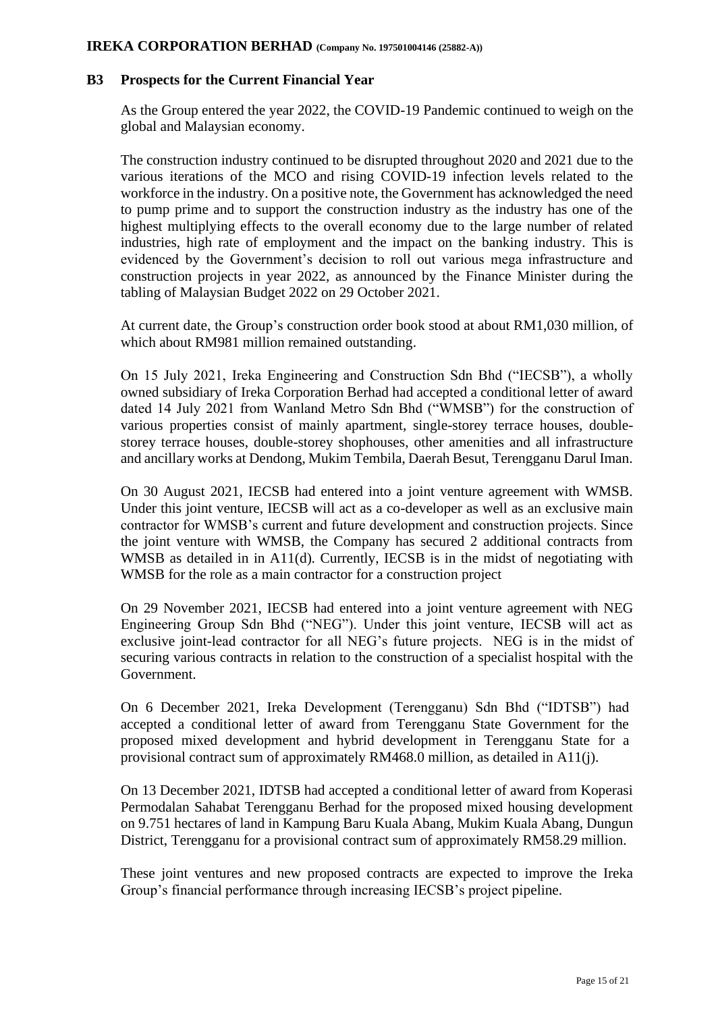#### **B3 Prospects for the Current Financial Year**

As the Group entered the year 2022, the COVID-19 Pandemic continued to weigh on the global and Malaysian economy.

The construction industry continued to be disrupted throughout 2020 and 2021 due to the various iterations of the MCO and rising COVID-19 infection levels related to the workforce in the industry. On a positive note, the Government has acknowledged the need to pump prime and to support the construction industry as the industry has one of the highest multiplying effects to the overall economy due to the large number of related industries, high rate of employment and the impact on the banking industry. This is evidenced by the Government's decision to roll out various mega infrastructure and construction projects in year 2022, as announced by the Finance Minister during the tabling of Malaysian Budget 2022 on 29 October 2021.

At current date, the Group's construction order book stood at about RM1,030 million, of which about RM981 million remained outstanding.

On 15 July 2021, Ireka Engineering and Construction Sdn Bhd ("IECSB"), a wholly owned subsidiary of Ireka Corporation Berhad had accepted a conditional letter of award dated 14 July 2021 from Wanland Metro Sdn Bhd ("WMSB") for the construction of various properties consist of mainly apartment, single-storey terrace houses, doublestorey terrace houses, double-storey shophouses, other amenities and all infrastructure and ancillary works at Dendong, Mukim Tembila, Daerah Besut, Terengganu Darul Iman.

On 30 August 2021, IECSB had entered into a joint venture agreement with WMSB. Under this joint venture, IECSB will act as a co-developer as well as an exclusive main contractor for WMSB's current and future development and construction projects. Since the joint venture with WMSB, the Company has secured 2 additional contracts from WMSB as detailed in in A11(d). Currently, IECSB is in the midst of negotiating with WMSB for the role as a main contractor for a construction project

On 29 November 2021, IECSB had entered into a joint venture agreement with NEG Engineering Group Sdn Bhd ("NEG"). Under this joint venture, IECSB will act as exclusive joint-lead contractor for all NEG's future projects. NEG is in the midst of securing various contracts in relation to the construction of a specialist hospital with the Government.

On 6 December 2021, Ireka Development (Terengganu) Sdn Bhd ("IDTSB") had accepted a conditional letter of award from Terengganu State Government for the proposed mixed development and hybrid development in Terengganu State for a provisional contract sum of approximately RM468.0 million, as detailed in A11(j).

On 13 December 2021, IDTSB had accepted a conditional letter of award from Koperasi Permodalan Sahabat Terengganu Berhad for the proposed mixed housing development on 9.751 hectares of land in Kampung Baru Kuala Abang, Mukim Kuala Abang, Dungun District, Terengganu for a provisional contract sum of approximately RM58.29 million.

These joint ventures and new proposed contracts are expected to improve the Ireka Group's financial performance through increasing IECSB's project pipeline.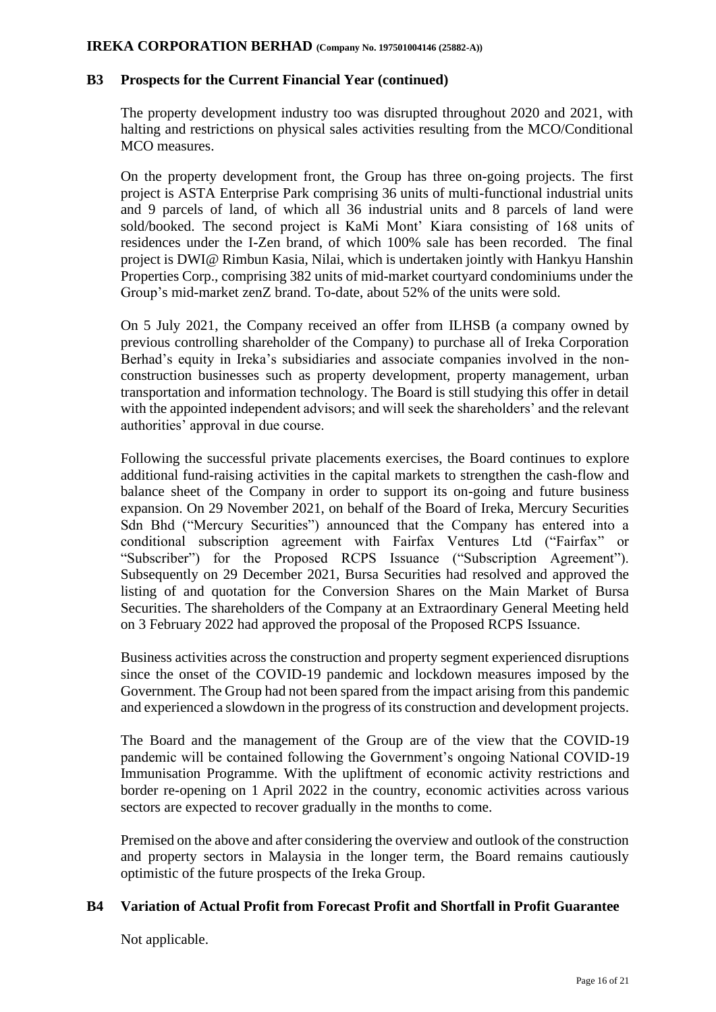#### **B3 Prospects for the Current Financial Year (continued)**

The property development industry too was disrupted throughout 2020 and 2021, with halting and restrictions on physical sales activities resulting from the MCO/Conditional MCO measures.

On the property development front, the Group has three on-going projects. The first project is ASTA Enterprise Park comprising 36 units of multi-functional industrial units and 9 parcels of land, of which all 36 industrial units and 8 parcels of land were sold/booked. The second project is KaMi Mont' Kiara consisting of 168 units of residences under the I-Zen brand, of which 100% sale has been recorded. The final project is DWI@ Rimbun Kasia, Nilai, which is undertaken jointly with Hankyu Hanshin Properties Corp., comprising 382 units of mid-market courtyard condominiums under the Group's mid-market zenZ brand. To-date, about 52% of the units were sold.

On 5 July 2021, the Company received an offer from ILHSB (a company owned by previous controlling shareholder of the Company) to purchase all of Ireka Corporation Berhad's equity in Ireka's subsidiaries and associate companies involved in the nonconstruction businesses such as property development, property management, urban transportation and information technology. The Board is still studying this offer in detail with the appointed independent advisors; and will seek the shareholders' and the relevant authorities' approval in due course.

Following the successful private placements exercises, the Board continues to explore additional fund-raising activities in the capital markets to strengthen the cash-flow and balance sheet of the Company in order to support its on-going and future business expansion. On 29 November 2021, on behalf of the Board of Ireka, Mercury Securities Sdn Bhd ("Mercury Securities") announced that the Company has entered into a conditional subscription agreement with Fairfax Ventures Ltd ("Fairfax" or "Subscriber") for the Proposed RCPS Issuance ("Subscription Agreement"). Subsequently on 29 December 2021, Bursa Securities had resolved and approved the listing of and quotation for the Conversion Shares on the Main Market of Bursa Securities. The shareholders of the Company at an Extraordinary General Meeting held on 3 February 2022 had approved the proposal of the Proposed RCPS Issuance.

Business activities across the construction and property segment experienced disruptions since the onset of the COVID-19 pandemic and lockdown measures imposed by the Government. The Group had not been spared from the impact arising from this pandemic and experienced a slowdown in the progress of its construction and development projects.

The Board and the management of the Group are of the view that the COVID-19 pandemic will be contained following the Government's ongoing National COVID-19 Immunisation Programme. With the upliftment of economic activity restrictions and border re-opening on 1 April 2022 in the country, economic activities across various sectors are expected to recover gradually in the months to come.

Premised on the above and after considering the overview and outlook of the construction and property sectors in Malaysia in the longer term, the Board remains cautiously optimistic of the future prospects of the Ireka Group.

## **B4 Variation of Actual Profit from Forecast Profit and Shortfall in Profit Guarantee**

Not applicable.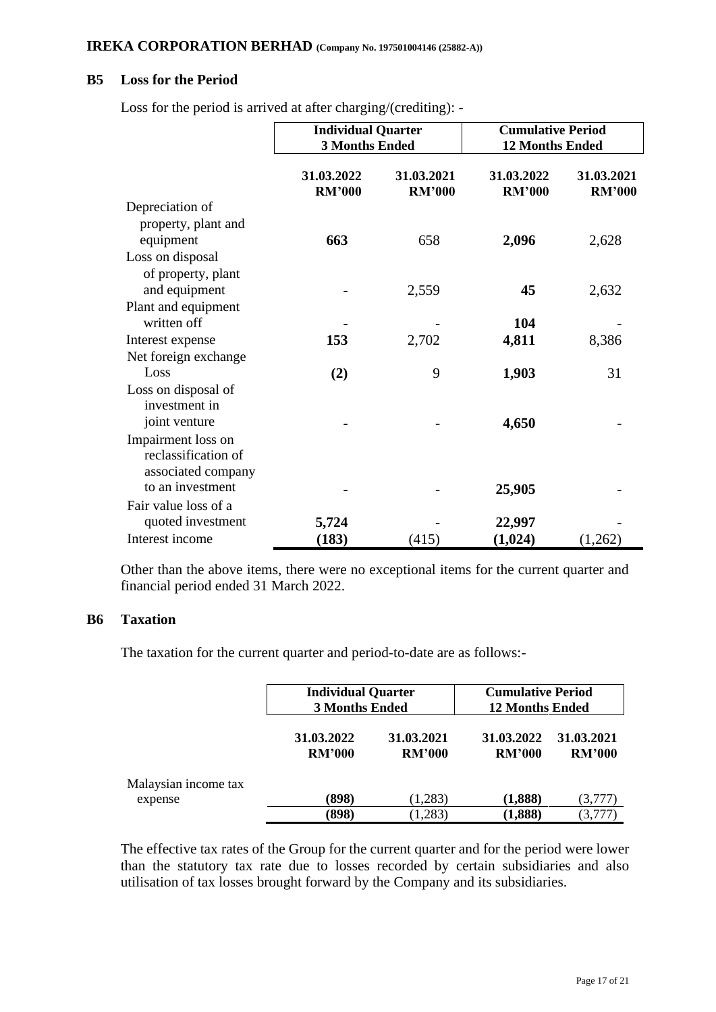## **B5 Loss for the Period**

| Loss for the period is arrived at after charging/(crediting): - |  |
|-----------------------------------------------------------------|--|
|-----------------------------------------------------------------|--|

|                      | <b>Individual Quarter</b><br><b>3 Months Ended</b> |                             | <b>Cumulative Period</b><br><b>12 Months Ended</b> |                             |
|----------------------|----------------------------------------------------|-----------------------------|----------------------------------------------------|-----------------------------|
|                      | 31.03.2022<br><b>RM'000</b>                        | 31.03.2021<br><b>RM'000</b> | 31.03.2022<br><b>RM'000</b>                        | 31.03.2021<br><b>RM'000</b> |
| Depreciation of      |                                                    |                             |                                                    |                             |
| property, plant and  |                                                    |                             |                                                    |                             |
| equipment            | 663                                                | 658                         | 2,096                                              | 2,628                       |
| Loss on disposal     |                                                    |                             |                                                    |                             |
| of property, plant   |                                                    |                             |                                                    |                             |
| and equipment        |                                                    | 2,559                       | 45                                                 | 2,632                       |
| Plant and equipment  |                                                    |                             |                                                    |                             |
| written off          |                                                    |                             | 104                                                |                             |
| Interest expense     | 153                                                | 2,702                       | 4,811                                              | 8,386                       |
| Net foreign exchange |                                                    |                             |                                                    |                             |
| Loss                 | (2)                                                | 9                           | 1,903                                              | 31                          |
| Loss on disposal of  |                                                    |                             |                                                    |                             |
| investment in        |                                                    |                             |                                                    |                             |
| joint venture        |                                                    |                             | 4,650                                              |                             |
| Impairment loss on   |                                                    |                             |                                                    |                             |
| reclassification of  |                                                    |                             |                                                    |                             |
| associated company   |                                                    |                             |                                                    |                             |
| to an investment     |                                                    |                             | 25,905                                             |                             |
| Fair value loss of a |                                                    |                             |                                                    |                             |
| quoted investment    | 5,724                                              |                             | 22,997                                             |                             |
| Interest income      | (183)                                              | (415)                       | (1,024)                                            | (1,262)                     |

Other than the above items, there were no exceptional items for the current quarter and financial period ended 31 March 2022.

#### **B6 Taxation**

The taxation for the current quarter and period-to-date are as follows:-

|                      | <b>Individual Quarter</b><br><b>3 Months Ended</b> |                             | <b>Cumulative Period</b><br><b>12 Months Ended</b> |                             |
|----------------------|----------------------------------------------------|-----------------------------|----------------------------------------------------|-----------------------------|
|                      | 31.03.2022<br><b>RM'000</b>                        | 31.03.2021<br><b>RM'000</b> | 31.03.2022<br><b>RM'000</b>                        | 31.03.2021<br><b>RM'000</b> |
| Malaysian income tax |                                                    |                             |                                                    |                             |
| expense              | (898)                                              | (1,283)                     | (1,888)                                            | (3,777)                     |
|                      | (898)                                              | (1,283)                     | (1,888)                                            | (3,777)                     |

The effective tax rates of the Group for the current quarter and for the period were lower than the statutory tax rate due to losses recorded by certain subsidiaries and also utilisation of tax losses brought forward by the Company and its subsidiaries.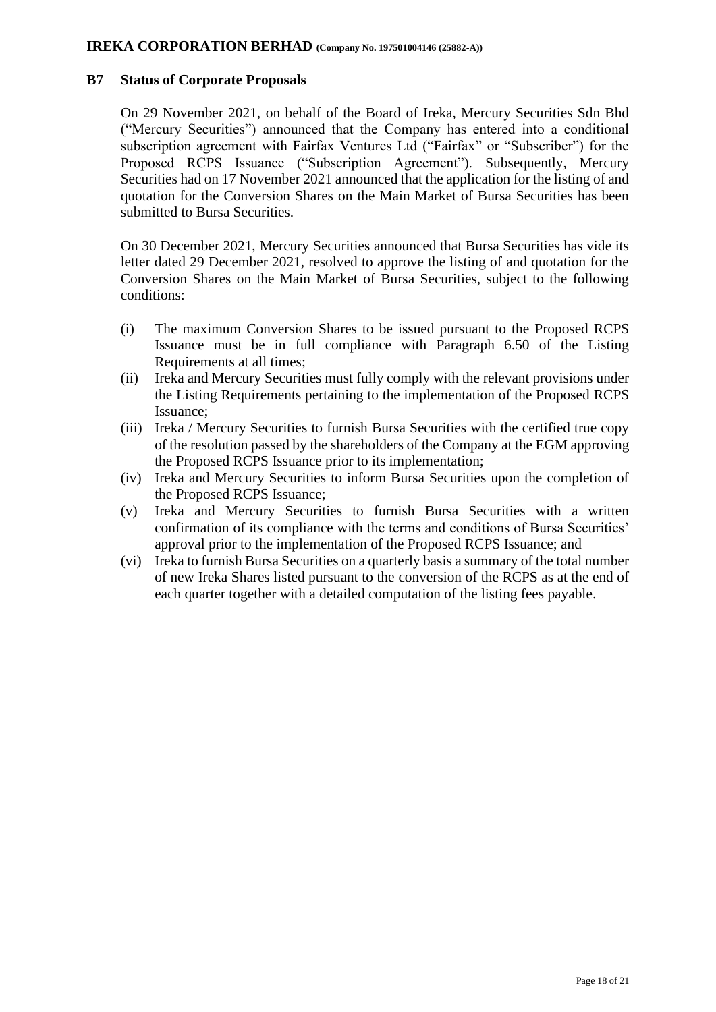#### **B7 Status of Corporate Proposals**

On 29 November 2021, on behalf of the Board of Ireka, Mercury Securities Sdn Bhd ("Mercury Securities") announced that the Company has entered into a conditional subscription agreement with Fairfax Ventures Ltd ("Fairfax" or "Subscriber") for the Proposed RCPS Issuance ("Subscription Agreement"). Subsequently, Mercury Securities had on 17 November 2021 announced that the application for the listing of and quotation for the Conversion Shares on the Main Market of Bursa Securities has been submitted to Bursa Securities.

On 30 December 2021, Mercury Securities announced that Bursa Securities has vide its letter dated 29 December 2021, resolved to approve the listing of and quotation for the Conversion Shares on the Main Market of Bursa Securities, subject to the following conditions:

- (i) The maximum Conversion Shares to be issued pursuant to the Proposed RCPS Issuance must be in full compliance with Paragraph 6.50 of the Listing Requirements at all times;
- (ii) Ireka and Mercury Securities must fully comply with the relevant provisions under the Listing Requirements pertaining to the implementation of the Proposed RCPS Issuance;
- (iii) Ireka / Mercury Securities to furnish Bursa Securities with the certified true copy of the resolution passed by the shareholders of the Company at the EGM approving the Proposed RCPS Issuance prior to its implementation;
- (iv) Ireka and Mercury Securities to inform Bursa Securities upon the completion of the Proposed RCPS Issuance;
- (v) Ireka and Mercury Securities to furnish Bursa Securities with a written confirmation of its compliance with the terms and conditions of Bursa Securities' approval prior to the implementation of the Proposed RCPS Issuance; and
- (vi) Ireka to furnish Bursa Securities on a quarterly basis a summary of the total number of new Ireka Shares listed pursuant to the conversion of the RCPS as at the end of each quarter together with a detailed computation of the listing fees payable.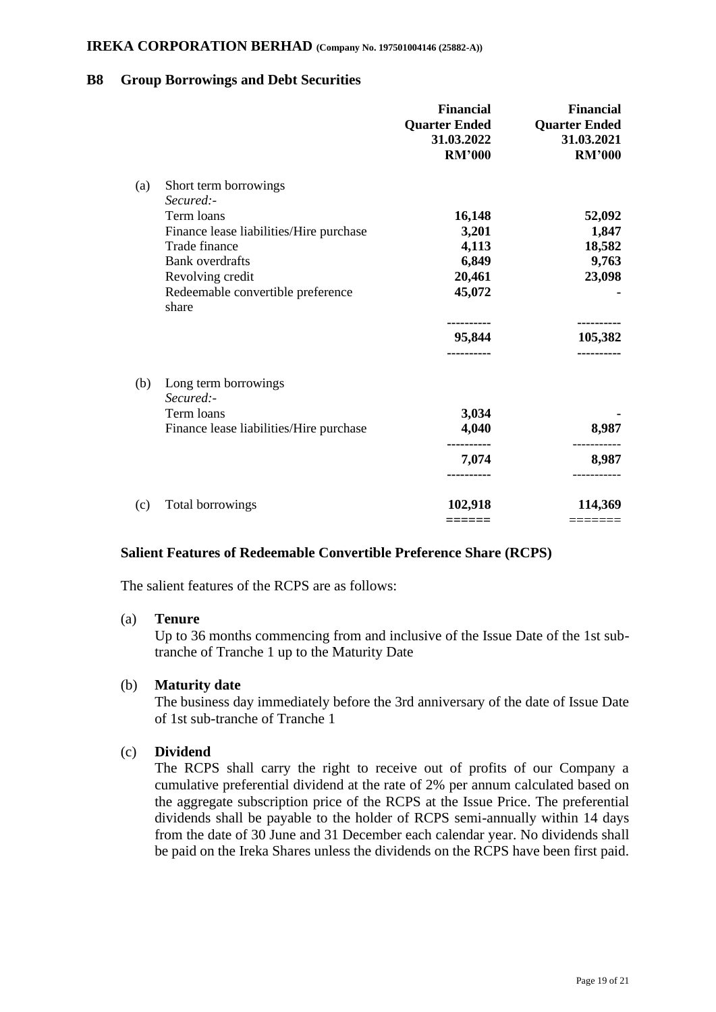## **B8 Group Borrowings and Debt Securities**

|     |                                            | <b>Financial</b><br><b>Quarter Ended</b><br>31.03.2022<br><b>RM'000</b> | <b>Financial</b><br><b>Quarter Ended</b><br>31.03.2021<br><b>RM'000</b> |
|-----|--------------------------------------------|-------------------------------------------------------------------------|-------------------------------------------------------------------------|
| (a) | Short term borrowings<br>Secured:-         |                                                                         |                                                                         |
|     | Term loans                                 | 16,148                                                                  | 52,092                                                                  |
|     | Finance lease liabilities/Hire purchase    | 3,201                                                                   | 1,847                                                                   |
|     | Trade finance                              | 4,113                                                                   | 18,582                                                                  |
|     | <b>Bank</b> overdrafts                     | 6,849                                                                   | 9,763                                                                   |
|     | Revolving credit                           | 20,461                                                                  | 23,098                                                                  |
|     | Redeemable convertible preference<br>share | 45,072                                                                  |                                                                         |
|     |                                            |                                                                         |                                                                         |
|     |                                            | 95,844                                                                  | 105,382                                                                 |
| (b) | Long term borrowings                       |                                                                         |                                                                         |
|     | Secured:-                                  |                                                                         |                                                                         |
|     | Term loans                                 | 3,034                                                                   |                                                                         |
|     | Finance lease liabilities/Hire purchase    | 4,040                                                                   | 8,987                                                                   |
|     |                                            | 7,074                                                                   | 8,987                                                                   |
|     |                                            | ----------                                                              |                                                                         |
| (c) | Total borrowings                           | 102,918                                                                 | 114,369                                                                 |
|     |                                            | ======                                                                  |                                                                         |

## **Salient Features of Redeemable Convertible Preference Share (RCPS)**

The salient features of the RCPS are as follows:

#### (a) **Tenure**

Up to 36 months commencing from and inclusive of the Issue Date of the 1st subtranche of Tranche 1 up to the Maturity Date

#### (b) **Maturity date**

The business day immediately before the 3rd anniversary of the date of Issue Date of 1st sub-tranche of Tranche 1

## (c) **Dividend**

The RCPS shall carry the right to receive out of profits of our Company a cumulative preferential dividend at the rate of 2% per annum calculated based on the aggregate subscription price of the RCPS at the Issue Price. The preferential dividends shall be payable to the holder of RCPS semi-annually within 14 days from the date of 30 June and 31 December each calendar year. No dividends shall be paid on the Ireka Shares unless the dividends on the RCPS have been first paid.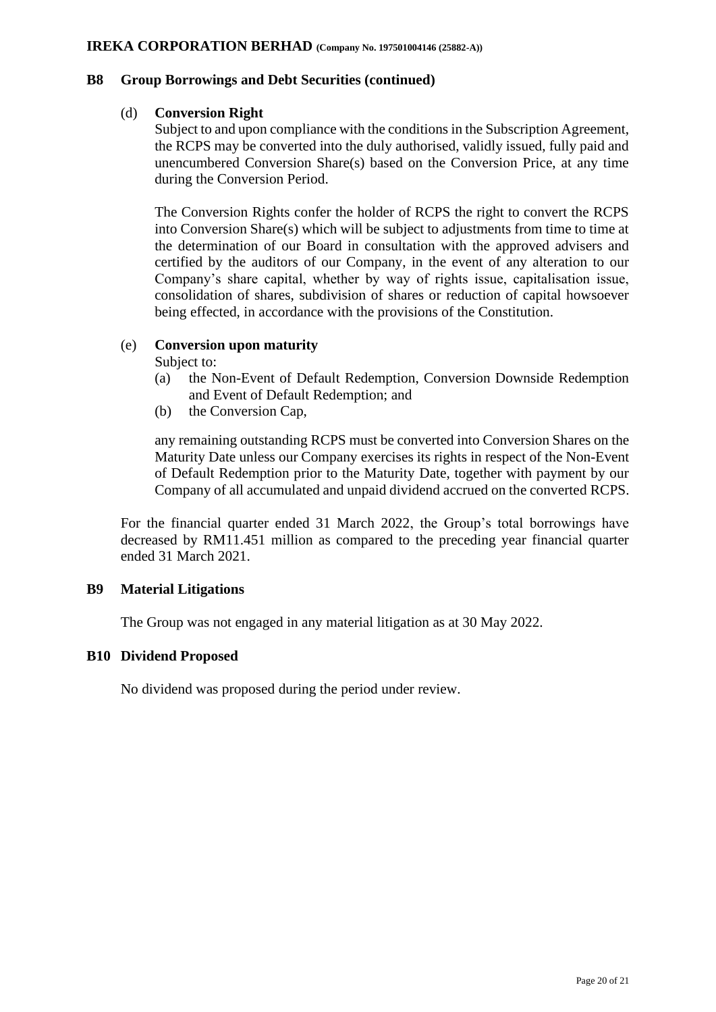## **B8 Group Borrowings and Debt Securities (continued)**

## (d) **Conversion Right**

Subject to and upon compliance with the conditions in the Subscription Agreement, the RCPS may be converted into the duly authorised, validly issued, fully paid and unencumbered Conversion Share(s) based on the Conversion Price, at any time during the Conversion Period.

The Conversion Rights confer the holder of RCPS the right to convert the RCPS into Conversion Share(s) which will be subject to adjustments from time to time at the determination of our Board in consultation with the approved advisers and certified by the auditors of our Company, in the event of any alteration to our Company's share capital, whether by way of rights issue, capitalisation issue, consolidation of shares, subdivision of shares or reduction of capital howsoever being effected, in accordance with the provisions of the Constitution.

# (e) **Conversion upon maturity**

Subject to:

- (a) the Non-Event of Default Redemption, Conversion Downside Redemption and Event of Default Redemption; and
- (b) the Conversion Cap,

any remaining outstanding RCPS must be converted into Conversion Shares on the Maturity Date unless our Company exercises its rights in respect of the Non-Event of Default Redemption prior to the Maturity Date, together with payment by our Company of all accumulated and unpaid dividend accrued on the converted RCPS.

For the financial quarter ended 31 March 2022, the Group's total borrowings have decreased by RM11.451 million as compared to the preceding year financial quarter ended 31 March 2021.

# **B9 Material Litigations**

The Group was not engaged in any material litigation as at 30 May 2022.

## **B10 Dividend Proposed**

No dividend was proposed during the period under review.